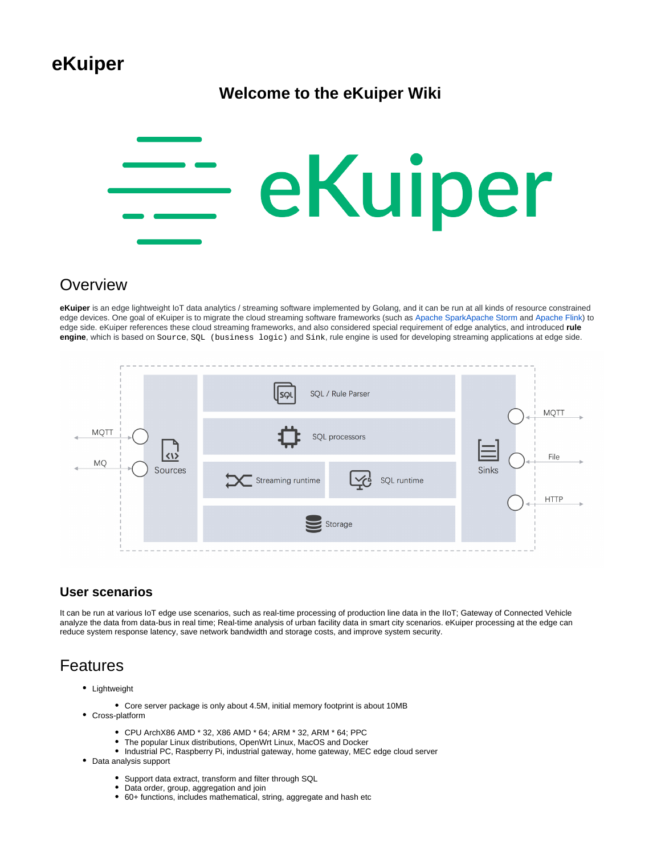# **eKuiper**

## **Welcome to the eKuiper Wiki**



## **Overview**

**eKuiper** is an edge lightweight IoT data analytics / streaming software implemented by Golang, and it can be run at all kinds of resource constrained edge devices. One goal of eKuiper is to migrate the cloud streaming software frameworks (such as [Apache Spark](https://spark.apache.org/)[Apache Storm](https://storm.apache.org/) and [Apache Flink\)](https://flink.apache.org/) to edge side. eKuiper references these cloud streaming frameworks, and also considered special requirement of edge analytics, and introduced **rule engine**, which is based on Source, SQL (business logic) and Sink, rule engine is used for developing streaming applications at edge side.

| SQL / Rule Parser<br>∫sດເ                  |                      |
|--------------------------------------------|----------------------|
| SQL processors                             | <b>MQTT</b><br>File  |
| Streaming runtime<br>SQL runtime<br>$\vee$ | Sinks<br><b>HTTP</b> |
| $\leq$ Storage                             |                      |
|                                            |                      |

## **User scenarios**

It can be run at various IoT edge use scenarios, such as real-time processing of production line data in the IIoT; Gateway of Connected Vehicle analyze the data from data-bus in real time; Real-time analysis of urban facility data in smart city scenarios. eKuiper processing at the edge can reduce system response latency, save network bandwidth and storage costs, and improve system security.

# Features

- Lightweight
	- Core server package is only about 4.5M, initial memory footprint is about 10MB
- Cross-platform
	- CPU ArchX86 AMD \* 32, X86 AMD \* 64; ARM \* 32, ARM \* 64; PPC
	- The popular Linux distributions, OpenWrt Linux, MacOS and Docker
	- $\bullet$  Industrial PC, Raspberry Pi, industrial gateway, home gateway, MEC edge cloud server
- Data analysis support
	- Support data extract, transform and filter through SQL
	- Data order, group, aggregation and join
	- 60+ functions, includes mathematical, string, aggregate and hash etc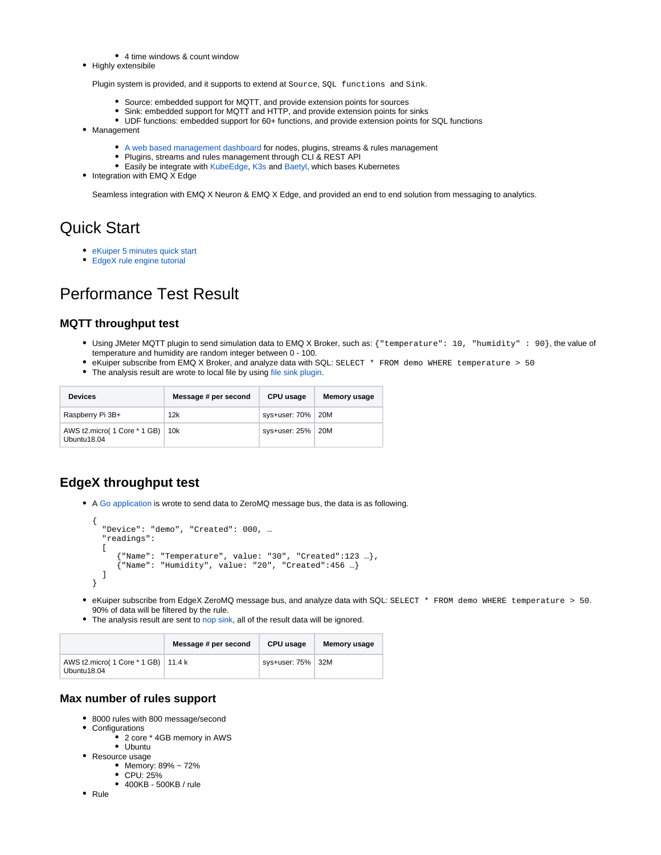- 4 time windows & count window
- Highly extensibile

Plugin system is provided, and it supports to extend at Source, SQL functions and Sink.

- Source: embedded support for MQTT, and provide extension points for sources
- Sink: embedded support for MQTT and HTTP, and provide extension points for sinks
- UDF functions: embedded support for 60+ functions, and provide extension points for SQL functions
- Management
	- [A web based management dashboard](https://hub.docker.com/r/emqx/kuiper-manager) for nodes, plugins, streams & rules management
	- Plugins, streams and rules management through CLI & REST API
	- **Easily be integrate with [KubeEdge,](https://github.com/kubeedge/kubeedge) [K3s](https://github.com/rancher/k3s) and [Baetyl](https://github.com/baetyl/baetyl), which bases Kubernetes**
- $\bullet$  Integration with EMQ X Edge

Seamless integration with EMQ X Neuron & EMQ X Edge, and provided an end to end solution from messaging to analytics.

## Quick Start

- [eKuiper 5 minutes quick start](https://wiki.lfedge.org/display/EKUIPER/eKuiper+5+minutes+quick+start)
- [EdgeX rule engine tutorial](https://wiki.lfedge.org/display/EKUIPER/Edgex+Rule+Engine+Tutorial)

# Performance Test Result

#### **MQTT throughput test**

- Using JMeter MQTT plugin to send simulation data to EMQ X Broker, such as: {"temperature": 10, "humidity" : 90}, the value of temperature and humidity are random integer between 0 - 100.
- eKuiper subscribe from EMQ X Broker, and analyze data with SQL: SELECT \* FROM demo WHERE temperature > 50
- The analysis result are wrote to local file by using [file sink plugin](https://github.com/lf-edge/ekuiper/blob/master/docs/en_US/plugins/sinks/file.md).

| <b>Devices</b>                              | Message # per second | CPU usage           | <b>Memory usage</b> |
|---------------------------------------------|----------------------|---------------------|---------------------|
| Raspberry Pi 3B+                            | 12k                  | sys+user: 70%   20M |                     |
| AWS t2.micro( 1 Core * 1 GB)<br>Ubuntu18.04 | 10k                  | sys+user: 25%   20M |                     |

## **EdgeX throughput test**

A [Go application](https://github.com/lf-edge/ekuiper/blob/master/fvt_scripts/edgex/benchmark/pub.go) is wrote to send data to ZeroMQ message bus, the data is as following.

```
{
   "Device": "demo", "Created": 000, …
   "readings": 
  \Gamma {"Name": "Temperature", value: "30", "Created":123 …},
      {"Name": "Humidity", value: "20", "Created":456 …}
   ]
}
```
- eKuiper subscribe from EdgeX ZeroMQ message bus, and analyze data with SQL: SELECT \* FROM demo WHERE temperature > 50. 90% of data will be filtered by the rule.
- The analysis result are sent to [nop sink,](https://github.com/lf-edge/ekuiper/blob/master/docs/en_US/rules/sinks/nop.md) all of the result data will be ignored.

|                                                      | Message # per second | CPU usage           | Memory usage |
|------------------------------------------------------|----------------------|---------------------|--------------|
| AWS t2.micro( 1 Core * 1 GB)   11.4 k<br>Ubuntu18.04 |                      | sys+user: 75%   32M |              |

#### **Max number of rules support**

- 8000 rules with 800 message/second
	- Configurations
		- 2 core \* 4GB memory in AWS
		- Ubuntu
- Resource usage
	- Memory: 89% ~ 72% CPU: 25%
	- 400KB 500KB / rule
- Rule